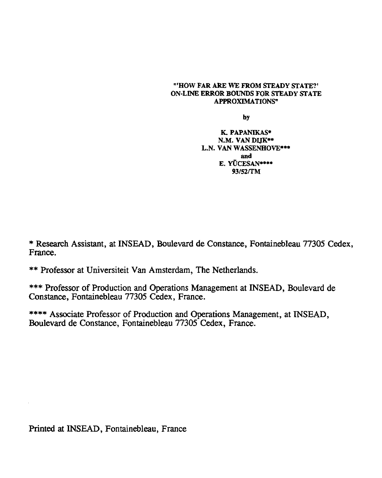### "'HOW FAR ARE WE FROM STEADY STATE?' ON-LINE ERROR BOUNDS FOR STEADY STATE APPROXIMATIONS"

by

K. PAPANIKAS• N.M. VAN DIJK\*\* L.N. VAN WASSENHOVE\*\*\* and E. YÜCESAN\*\*\*\* 93/52/TM

\* Research Assistant, at INSEAD, Boulevard de Constance, Fontainebleau 77305 Cedex, France.

\*\* Professor at Universiteit Van Amsterdam, The Netherlands.

\*\*\* Professor of Production and Operations Management at INSEAD, Boulevard de Constance, Fontainebleau 77305 Cedex, France.

\*\*\*\* Associate Professor of Production and Operations Management, at INSEAD, Boulevard de Constance, Fontainebleau 77305 Cedex, France.

Printed at INSEAD, Fontainebleau, France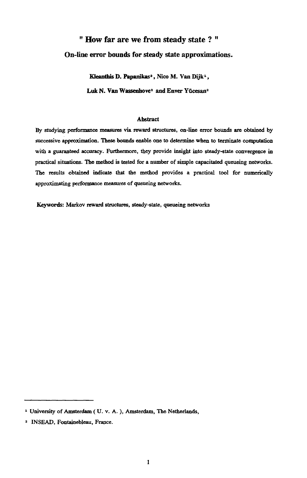# " How far are we from steady state ? "

# **On-line error bounds for steady state approximations.**

Kleanthis D. Papanikas<sup>2</sup>, Nico M. Van Dijk<sup>1</sup>, Luk N. Van Wassenhove<sup>2</sup> and Enver Yücesan<sup>2</sup>

## Abstract

By studying performance measures via reward structures, on-line error bounds are obtained by successive approximation. These bounds enable one to determine when to terminate computation with a guaranteed accuracy. Furthermore, they provide insight into steady-state convergence in practical situations. The method is tested for a number of simple capacitated queueing networks. The results obtained indicate that the method provides a practical tool for numerically approximating performance measures of queueing networks.

Keywords: Markov reward structures, steady-state, queueing networks

<sup>&</sup>lt;sup>1</sup> University of Amsterdam ( U. v. A.), Amsterdam, The Netherlands,

<sup>&</sup>lt;sup>2</sup> INSEAD, Fontainebleau, France.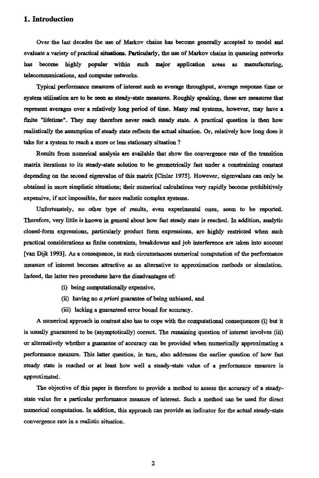# **1. Introduction**

Over the last decades the use of Markov chains has become generally accepted to model and evaluate a variety of practical situations. Particularly, the use of Markov chains in queueing networks has become highly popular within such major application areas as manufacturing, telecommunications, and computer networks.

Typical performance measures of interest such as average throughput, average response time or system utilisation are to be seen as steady-state measures. Roughly speaking, these are measures that represent averages over a relatively long period of time. Many real systems, however, may have a finite "lifetime". They may therefore never reach steady state. A practical question is then how realistically the assumption of steady state reflects the actual situation. Or, relatively how long does it take for a system to reach a more or less stationary situation ?

Results from numerical analysis are available that show the convergence rate of the transition matrix iterations to its steady-state solution to be geometrically fast under a constraining constant depending on the second eigenvalue of this matrix [Cinlar 1975]. However, eigenvalues can only be obtained in more simplistic situations; their numerical calculations very rapidly become prohibitively expensive, if not impossible, for more realistic complex systems.

Unfortunately, no other type of results, even experimental ones, seem to be reported. Therefore, very little is known in general about how fast steady state is reached. In addition, analytic closed-form expressions, particularly product form expressions, are highly restricted when such practical considerations as finite constraints, breakdowns and job interference are taken into account [van Dijk 1993]. As a consequence, in such circumstances numerical computation of the performance measure of interest becomes attractive as an alternative to approximation methods or simulation. Indeed, the latter two procedures have the disadvantages of:

- (i) being computationally expensive,
- (ii) having no a *priori* guarantee of being unbiased, and
- (iii) lacking a guaranteed error bound for accuracy.

A numerical approach in contrast also has to cope with the computational consequences (i) but it is usually guaranteed to be (asymptotically) correct. The remaining question of interest involves (iii) or alternatively whether a guarantee of accuracy can be provided when numerically approximating a performance measure. This latter question, in turn, also addresses the earlier question of how fast steady state is reached or at least how well a steady-state value of a performance measure is approximated.

The objective of this paper is therefore to provide a method to assess the accuracy of a steadystate value for a particular performance measure of interest. Such a method can be used for direct numerical computation. In addition, this approach can provide an indicator for the actual steady-state convergence rate in a realistic situation.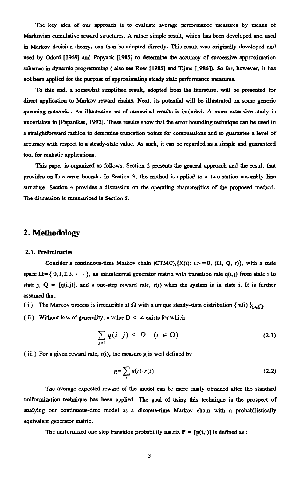The key idea of our approach is to evaluate average performance measures by means of Markovian cumulative reward structures. A rather simple result, which has *been* developed and used in Markov decision theory, can then be adopted directly. This result was originally developed and used by Odoni [1969] and Popyack [1985] to determine the accuracy of successive approximation schemes in dynamic programming ( also see Ross [1985] and Tijins [1986]). So far, however, it has not been applied for the purpose of approximating steady state performance measures.

To this end, a somewhat simplified result, adopted from the literature, will be presented for direct application to Markov reward chains. Next, its potential will be illustrated on some generic queueing networks. An illustrative set of numerical results is included. A more extensive study is undertaken in [Papanikas, 1992]. These results show that the error bounding technique can be used in a straightforward fashion to determine truncation points for computations and to guarantee a level of accuracy with respect to a steady-state value. As such, it can be regarded *as a* simple and guaranteed tool for realistic applications.

This paper is organized as follows: Section 2 presents the general approach and the result that provides on-line error bounds. In Section 3, the method is applied to a two-station assembly line structure. Section 4 provides a discussion on the operating characteritics of the proposed method. The discussion is summarized in Section 5.

# **2. Methodology**

### 2.1. Preliminaries

Consider a continuous-time Markov chain (CTMC), $\{X(t): t>=0, (\Omega, Q, r)\}$ , with a state space  $\Omega = \{ 0,1,2,3, \cdots \}$ , an infinitesimal generator matrix with transition rate q(i,j) from state i to state j,  $Q = [q(i,j)]$ , and a one-step reward rate, r(i) when the system is in state i. It is further assumed that: **a** Markov chain (CTMC), $\{X(t): t > = 0, (\Omega, Q, r)\}$ , with a state initesimal generator matrix with transition rate  $q(i,j)$  from state i to step reward rate, r(i) when the system is in state i. It is further lucible at  $\Omega$  with

- (i) The Markov process is irreducible at  $\Omega$  with a unique steady-state distribution  $\{\pi(i)\}_{i\in\Omega}$ .
- (ii) Without loss of generality, a value  $D < \infty$  exists for which

$$
\sum_{j\neq i} q(i,j) \leq D \quad (i \in \Omega) \tag{2.1}
$$

(iii) For a given reward rate,  $r(i)$ , the measure g is well defined by

$$
\mathbf{g} = \sum_{i} \pi(i) \cdot r(i) \tag{2.2}
$$

The average expected reward of the model can be more easily obtained after the standard uniformization technique has been applied. The goal of using this technique is the prospect of studying our continuous-time model as a discrete-time Markov chain with a probabilistically equivalent generator matrix.

The uniformized one-step transition probability matrix  $P = [p(i,j)]$  is defined as :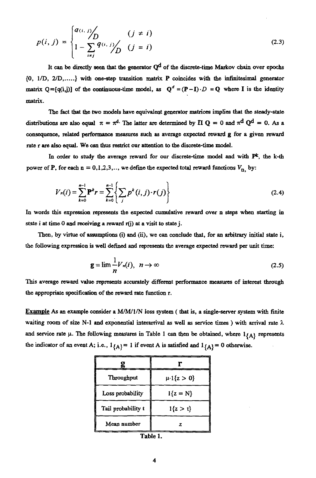$$
p(i,j) = \begin{cases} q(i,j) & (j \neq i) \\ 1 - \sum_{i \neq j} q(i,j) & (j = i) \end{cases}
$$
 (2.3)

It can be directly seen that the generator  $Q<sup>d</sup>$  of the discrete-time Markov chain over epochs  $p(i, j) = \begin{cases} a_{(i, j)} & (j \neq i) \\ 1 - \sum_{i \neq j} q_{(i, j)} & (j = i) \end{cases}$  (2.3)<br>It can be directly seen that the generator  $Q^d$  of the discrete-time Markov chain over epochs<br>{0, 1/D, 2/D,.....} with one-step transition matrix P coinci matrix  $Q = [q(i,j)]$  of the continuous-time model, as  $Q^d = (P - I) \cdot D = Q$  where I is the identity matrix.

The fact that the two models have equivalent generator matrices implies that the steady-state distributions are also equal  $\pi = \pi^{d}$ . The latter are determined by  $\Pi Q = 0$  and  $\pi^{d} Q^{d} = 0$ . As a consequence, related performance measures such as average expected reward g for a given reward rate r are also equal. We can thus restrict our attention to the discrete-time model. performance<br>We can thus<br>study the av<br>n = 0,1,2,3,<br> $\sum_{r=1}^{n-1} P^k r = \sum_{r=1}^{n-1} P^r$ **Example directly seen that the generator**  $Q^d$  **of the discrete-time Markov chain over epochs<br>** *(D,.....)* **with one-step transition matrix P coincides with the infinitesimal generator<br>**  $(Q(i,j))$  **of the continuous-time model,** 

In order to study the average reward for our discrete-time model and with  $P^k$ , the k-th power of P, for each  $n = 0, 1, 2, 3, \ldots$ , we define the expected total reward functions  $V_{n_1}$  by:

so equal. We can thus restrict our attention to the discrete-time model.  
\norder to study the average reward for our discrete-time model and with 
$$
P^k
$$
, the k-th,  
\nfor each  $n = 0,1,2,3,...$ , we define the expected total reward functions  $V_n$ , by:  
\n
$$
V_n(i) = \sum_{k=0}^{n-1} P^k r = \sum_{k=0}^{n-1} \left\{ \sum_j p^k(i,j) \cdot r(j) \right\}
$$
\n(2.4)  
\nThis expression represents the expected cumulative reward over n steps when starting in

In words this expression represents the expected cumulative reward over *n* steps when starting in state i at time 0 and receiving a reward r(j) at a visit to state j. uli<br>tk<br>LC

Then, by virtue of assumptions (i) and (ii), we can conclude that, for an arbitrary initial state i, the following expression is well defined and represents the average expected reward per unit time:

$$
\mathbf{g} = \lim_{n} \frac{1}{n} V_n(i), \quad n \to \infty \tag{2.5}
$$

This average reward value represents accurately different performance measures of interest through the appropriate specification of the reward rate function r.

Example As an example consider a M/M/1/N loss system ( that is, a single-server system with finite waiting room of size N-1 and exponential interarrival as well as service times) with arrival rate  $\lambda$ . and service rate  $\mu$ . The following measures in Table 1 can then be obtained, where  $1_{\{A\}}$  represents the indicator of an event A; i.e.,  $1_{\{A\}} = 1$  if event A is satisfied and  $1_{\{A\}} = 0$  otherwise.

| $\{A\}$ i.e., $\{A\}$ = 1 if event A is satisfied and $\{A\}$ |                        |  |  |
|---------------------------------------------------------------|------------------------|--|--|
| g                                                             | Г                      |  |  |
| Throughput                                                    | $\mu \cdot 1\{z > 0\}$ |  |  |
| Loss probability                                              | $1{z = N}$             |  |  |
| Tail probability t                                            | $1\{z > t\}$           |  |  |
| Mean number                                                   | z                      |  |  |
| Table 1.                                                      |                        |  |  |

Table 1.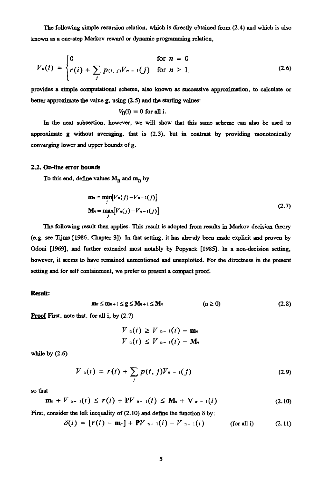The following simple recursion relation, which is directly obtained from (2.4) and which is also known as a one-step Markov reward or dynamic programming relation,

The following simple recursion relation, which is directly obtained from (2.4) and which is also  
down as a one-step Markov reward or dynamic programming relation,  

$$
V_n(i) = \begin{cases} 0 & \text{for } n = 0 \\ r(i) + \sum_j p_{(i,j)} V_{n-1}(j) & \text{for } n \ge 1. \end{cases}
$$
(2.6)

provides a simple computational scheme, also known as successive approximation, to calculate or better approximate the value g, using (2.5) and the starting values:

$$
V_0(i) = 0
$$
 for all i.

In the next subsection, however, we will show that this same scheme can also be used to approximate g without averaging, that is (2.3), but in contrast by providing monotonically converging lower and upper bounds of g.

### 2.2. On-line error bounds

To this end, define values  $M_n$  and  $m_n$  by

but averaging, that is (2.3), but in contrast by providing monotonically  
upper bounds of g.  
umds  
ne values 
$$
M_n
$$
 and  $m_n$  by  

$$
\mathbf{m}_n = \min_j [V_n(j) - V_{n-1}(j)]
$$

$$
\mathbf{M}_n = \max_j [V_n(j) - V_{n-1}(j)]
$$
(2.7)  
sult then applies. This result is adopted from results in Markov decision theory

The following result then applies. This result is adopted from results in Markov decision theory (e.g. see Tijms [1986, Chapter 3]). In that setting, it has already been made explicit and proven by Odoni [1969], and further extended most notably by Popyack [1985]. In a non-decision setting, however, it seems to have remained unmentioned and unexploited. For the directness in the present setting and for self containment, we prefer to present a compact proof. It then applies. This<br>Chapter 3]). In that a<br>ther extended most<br>ave remained unment<br>ainment, we prefer to<br> $m_n \le m_{n+1} \le g \le M_n$ .<br>For all i, by (2.7) (2.7)<br>results in Markov decision theory<br>been made explicit and proven by<br>1985]. In a non-decision setting,<br>For the directness in the present<br>of.<br>(n  $\ge$  0) (2.8)

### Result:

$$
\mathbf{m}_n \leq \mathbf{m}_{n+1} \leq \mathbf{g} \leq \mathbf{M}_{n+1} \leq \mathbf{M}_n \qquad (\mathbf{n} \geq 0) \tag{2.8}
$$

**Proof** First, note that, for all  $i$ , by  $(2.7)$ 

$$
V_{n}(i) \geq V_{n-1}(i) + \mathbf{m}_{n}
$$
  

$$
V_{n}(i) \leq V_{n-1}(i) + \mathbf{M}_{n}
$$

while by (2.6)

Let, it seems to have the mathematical uninertroder and unexplored. For the functions in the present  
\ng and for self containment, we prefer to present a compact proof.  
\n  
\n
$$
\mathbf{m}_n \leq \mathbf{m}_{n+1} \leq \mathbf{g} \leq \mathbf{M}_{n+1} \leq \mathbf{M}_n
$$
 ( $n \geq 0$ ) (2.8)  
\nFirst, note that, for all i, by (2.7)  
\n
$$
V_{n}(i) \geq V_{n-1}(i) + \mathbf{M}_n
$$
\nby (2.6)  
\n
$$
V_{n}(i) = r(i) + \sum_{j} p(i, j)V_{n-1}(j)
$$
 (2.9)  
\n
$$
\mathbf{m}_n + V_{n-1}(i) \leq r(i) + \mathbf{P}V_{n-1}(i) \leq \mathbf{M}_n + \mathbf{V}_{n-1}(i)
$$
 (2.10)  
\nconsider the left inequality of (2.10) and define the function  $\delta$  by:  
\n
$$
\delta(i) = [r(i) - \mathbf{m}_n] + \mathbf{P}V_{n-1}(i) - V_{n-1}(i)
$$
 (for all i) (2.11)

so that

$$
\mathbf{m}_{n} + V_{n-1}(i) \leq r(i) + \mathbf{P}V_{n-1}(i) \leq \mathbf{M}_{n} + \mathbf{V}_{n-1}(i) \qquad (2.10)
$$

First, consider the left inequality of (2.10) and define the function  $\delta$  by:

$$
\delta(i) = [r(i) - m_n] + PV_{n-1}(i) - V_{n-1}(i)
$$
 (for all i) (2.11)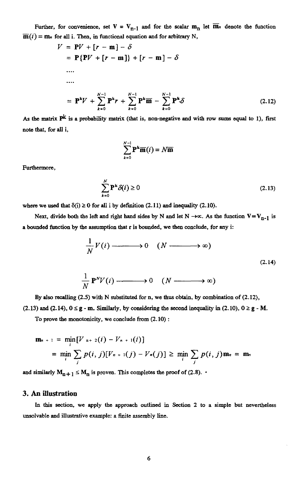Further, for convenience, set  $V = V_{n-1}$  and for the scalar  $m_n$  let  $\overline{m}_n$  denote the function  $\overline{\mathbf{m}}(i) = \mathbf{m}_n$  for all i. Then, in functional equation and for arbitrary N,

$$
\overline{\mathbf{m}}(i) = \mathbf{m}_n \text{ for all } i. \text{ Then, in functional equation and for arbitrary N,}
$$
\n
$$
V = \mathbf{P}V + [r - \mathbf{m}] - \delta
$$
\n
$$
= \mathbf{P}\{\mathbf{P}V + [r - \mathbf{m}]\} + [r - \mathbf{m}] - \delta
$$
\n...\n
$$
\dots
$$
\n
$$
= \mathbf{P}^{k}V + \sum_{k=0}^{N-1} \mathbf{P}^{k}r + \sum_{k=0}^{N-1} \mathbf{P}^{k}\overline{\mathbf{m}} - \sum_{k=0}^{N-1} \mathbf{P}^{k}\delta
$$
\n(2.12)\nAs the matrix  $\mathbf{P}^{k}$  is a probability matrix (that is, non-negative and with row sums equal to 1), first note that, for all i, 
$$
\sum_{k=0}^{N-1} \mathbf{P}^{k}\overline{\mathbf{m}}(i) = N\overline{\mathbf{m}}
$$
\nFurthermore,\n
$$
\sum_{k=0}^{N} \mathbf{P}^{k}\delta(i) \geq 0
$$
\n(2.13)\nwhere we used that  $\delta(i) \geq 0$  for all i by definition (2.11) and inequality (2.10).  
\nNext, divide both the left and right hand sides by N and let N \rightarrow \infty. As the function  $\mathbf{V} = \mathbf{V}_{n-1}$  is

note that, for all i,

$$
\sum_{k=0}^{N-1} \mathbf{P}^k \overline{\mathbf{m}}(i) = N \overline{\mathbf{m}}
$$

Furthermore,

$$
\sum_{k=0}^{N} \mathbf{P}^{k} \delta(i) \ge 0
$$
\n(2.13)

where we used that  $\delta(i) \ge 0$  for all i by definition (2.11) and inequality (2.10).

Next, divide both the left and right hand sides by *N* and let  $N \to \infty$ . As the function  $V = V_{n-1}$  is<br>unded function by the assumption that r is bounded, we then conclude, for any i: a bounded function by the assumption that r is bounded, we then conclude, for any i:

$$
\sum_{k=0}^{N} P^{k} \delta(i) \ge 0
$$
 (2.13)  
\n
$$
\ge 0 \text{ for all } i \text{ by definition (2.11) and inequality (2.10).}
$$
  
\nthe left and right hand sides by N and let N  $\rightarrow \infty$ . As the function V = V<sub>n-1</sub> is  
\nthe assumption that r is bounded, we then conclude, for any i:  
\n
$$
\frac{1}{N} V(i) \longrightarrow 0 \quad (N \longrightarrow \infty)
$$
  
\n(2.14)  
\n
$$
\frac{1}{N} P^{N} V(i) \longrightarrow 0 \quad (N \longrightarrow \infty)
$$
  
\n(2.14)  
\n2.5) with N substituted for n, we thus obtain, by combination of (2.12),

$$
\frac{1}{N} \mathbf{P}^{N} V(i) \longrightarrow 0 \quad (N \longrightarrow \infty)
$$

By also recalling (2.5) with N substituted for n, we thus obtain, by combination of (2.12), (2.13) and (2.14),  $0 \le g - m$ . Similarly, by considering the second inequality in (2.10),  $0 \ge g - M$ .

To prove the monotonicity, we conclude from (2.10) :

$$
\mathbf{m}_{n+1} = \min_{i} [V_{n+2}(i) - V_{n+1}(i)]
$$
  
= 
$$
\min_{i} \sum_{j} p(i, j) [V_{n+1}(j) - V_{n}(j)] \ge \min_{i} \sum_{j} p(i, j) \mathbf{m}_{n} = \mathbf{m}_{n}
$$

and similarly  $M_{n+1} \leq M_n$  is proven. This completes the proof of (2.8). •

## **3. An illustration**

In this section, we apply the approach outlined in Section 2 to a simple but nevertheless unsolvable and illustrative example: a finite assembly line.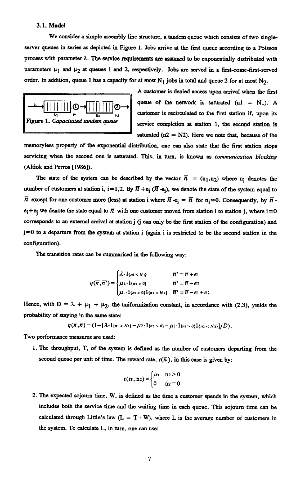## 3.1. Model

We consider a simple assembly line structure, a tandem queue which consists of two singleserver queues in series as depicted in Figure 1. Jobs arrive at the first queue according to a Poisson process with parameter  $\lambda$ . The service requirements are assumed to be exponentially distributed with parameters  $\mu_1$  and  $\mu_2$  at queues 1 and 2, respectively. Jobs are served in a first-come-first-served order. In addition, queue 1 has a capacity for at most  $N_1$  jobs in total and queue 2 for at most  $N_2$ .



A customer is denied access upon arrival when the first queue of the network is saturated  $(n1 = NI)$ . A customer is recirculated to the first station if, upon its service completion at station 1, the second station is saturated  $(n2 = N2)$ . Here we note that, because of the

memory/less property of the exponential distribution, one can also state that the first station stops servicing when the second one is saturated. This, in turn, is known as *communication blocking* (Altiok and Perros [1986]).

The state of the system can be described by the vector  $\overline{n} = (n_1, n_2)$  where  $n_i$  denotes the number of customers at station i, i=1,2. By  $\overline{n}$  +e<sub>i</sub> ( $\overline{n}$  -e<sub>i</sub>), we denote the state of the system equal to  $\overline{n}$  except for one customer more (less) at station i where  $\overline{n}$  -e<sub>i</sub> =  $\overline{n}$  for n<sub>i</sub>=0. Consequently, by  $\overline{n}$   $e_i + e_i$  we denote the state equal to  $\overline{n}$  with one customer moved from station i to station j, where  $i = 0$ corresponds to an external arrival at station j (j can only be the first station of the configuration) and  $j=0$  to a departure from the system at station i (again i is restricted to be the second station in the configuration). sta<br>at<br>1ar<br>|A<br>|A tion i,  $i = 1, 2$ . By  $n + e_i$   $(n - e_i)$ , we denote if more (less) at station i where  $\overline{n} - e_i = \overline{n}$  for equal to  $\overline{n}$  with one customer moved from s arrival at station j (j can only be the first st he system at station

The transition rates can be summarised in the following way:

$$
q(\overline{n}, \overline{n}') = \begin{cases} \lambda \cdot 1_{\{n_1 < N_1\}} & \overline{n}' = \overline{n} + e_1 \\ \mu_2 \cdot 1_{\{n_2 > 0\}} & \overline{n}' = \overline{n} - e_2 \\ \mu_1 \cdot 1_{\{n_1 > 0\}} 1_{\{n_2 < N_2\}} & \overline{n}' = \overline{n} - e_1 + e_2 \end{cases}
$$

Hence, with  $D = \lambda + \mu_1 + \mu_2$ , the uniformization constant, in accordance with (2.3), yields the probability of staying in the same state:

$$
q(\overline{n},\overline{n})=(1-[\lambda\cdot 1_{\{n_10\}}-\mu_1\cdot 1_{\{n_1>0\}}1_{\{n_2
$$

Two performance measures are used:

1.The throughput, T, of the system is defined as the number of customers departing from the second queue per unit of time. The reward rate,  $r(\overline{n})$ , in this case is given by:

$$
r(n_1, n_2) = \begin{cases} \mu_2 & n_2 > 0 \\ 0 & n_2 = 0 \end{cases}
$$

2. The expected sojourn time, W, is defined as the time a customer spends in the system, which includes both the service time and the waiting time in each queue. This sojourn time can be calculated through Little's law  $(L = T \cdot W)$ , where L is the average number of customers in the system. To calculate L, in turn, one can use: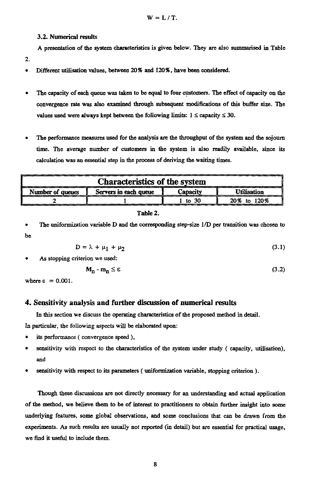### 3.2. Numerical results

A presentation of the system characteristics is given below. They are also summarised in Table

- 2.
- Different utilisation values, between 20% and 120%, have been considered.
- The capacity of each queue was taken to be equal to four customers. The effect of capacity on the convergence rate was also examined through subsequent modifications of this buffer size. The values used were always kept between the following limits:  $1 \leq$  capacity  $\leq 30$ .
- The performance measures used for the analysis are the **throughput of** the system and the sojourn time. The average number of customers in the system is also readily available, since its calculation was an essential step in the process of deriving the waiting times.

| <b>Characteristics of the system</b> |                                                                                                |              |                    |  |
|--------------------------------------|------------------------------------------------------------------------------------------------|--------------|--------------------|--|
| Number of queues                     | Servers in each queue                                                                          | Capacity     | <b>Utilisation</b> |  |
|                                      |                                                                                                | to $30$<br>1 | 20% to 120%        |  |
| be                                   | The uniformization variable D and the corresponding step-size 1/D per transition was chosen to |              |                    |  |
|                                      |                                                                                                |              |                    |  |
|                                      | $D = \lambda + \mu_1 + \mu_2$                                                                  |              |                    |  |
| As stopping criterion we used:       |                                                                                                |              | (3.1)              |  |
|                                      | $M_n - m_n \leq \epsilon$                                                                      |              | (3.2               |  |

$$
D = \lambda + \mu_1 + \mu_2 \tag{3.1}
$$

$$
\mathbf{M}_{\mathbf{n}} - \mathbf{m}_{\mathbf{n}} \le \varepsilon \tag{3.2}
$$

# **4. Sensitivity analysis and further discussion of numerical results**

In this section we discuss the operating characteristics of the proposed method in detail.

In particular, the following aspects will be elaborated upon:

- its performance ( convergence speed ),
- sensitivity with respect to the characteristics of the system under study ( capacity, utilisation), and
- sensitivity with respect to its parameters ( uniformization variable, stopping criterion ).

Though these discussions are not directly necessary for an understanding and actual application of the method, we believe them to be of interest to practitioners to obtain further insight into some underlying features, some global observations, and some conclusions that can be drawn from the experiments. As such results are usually not reported (in detail) but are essential for practical usage, we find it useful to include them.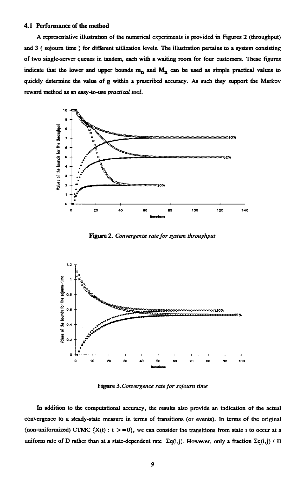#### 4.1 Performance of the method

A representative illustration of the numerical experiments is provided in Figures 2 (throughput) and 3 ( sojourn time ) for different utilization levels. The illustration pertains to a system consisting of two single-server queues in tandem, each with a waiting room for four customers. These figures indicate that the lower and upper bounds  $m_n$  and  $M_n$  can be used as simple practical values to quickly determine the value of g within a prescribed accuracy. As such they support the Markov reward method as an easy-to-use *practical tool.*



Figure 2. *Convergence rate for system throughput*



Figure 3. *Convergence rate for sojourn time*

In addition to the computational accuracy, the results also provide an indication of the actual convergence to a steady-state measure in terms of transitions (or events). In terms of the original (non-uniformized) CTMC  ${X(t) : t > = 0}$ , we can consider the transitions from state i to occur at a uniform rate of D rather than at a state-dependent rate  $\Sigma q(i,j)$ . However, only a fraction  $\Sigma q(i,j)$  / D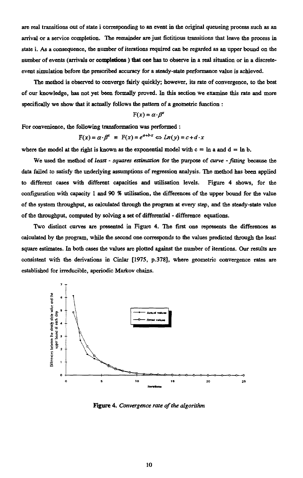are real transitions out of state i corresponding to an event in the original queueing process such as an arrival or a service completion. The remainder are just fictitious transitions that leave the process in state i. As a consequence, the number of iterations required can be regarded as an upper bound on the number of events (arrivals or completions ) that one has to observe in a real situation or in a discreteevent simulation before the prescribed accuracy for a steady-state performance value is achieved.

The method is observed to converge fairly quickly; however, its rate of convergence, to the best of our knowledge, has not yet been formally proved. In this section we examine this rate and more specifically we show that it actually follows the pattern of a geometric function :

$$
F(x) = \alpha \cdot \beta^x
$$

For convenience, the following transformation was performed :

allowing transformation was performed :  

$$
F(x) = \alpha \cdot \beta^x \equiv F(x) = e^{a+b \cdot x} \Leftrightarrow Ln(y) = c + d \cdot x
$$

where the model at the right is known as the exponential model with  $c = \ln a$  and  $d = \ln b$ .

We used the method of *least - squares estimation* for the purpose of *curve - fitting* because the data failed to satisfy the underlying assumptions of regression analysis. The method has been applied to different cases with different capacities and utilisation levels. Figure 4 shows, for the configuration with capacity 1 and 90 % utilisation, the differences of the upper bound for the value of the system throughput, as calculated through the program at every step, and the steady-state value of the throughput, computed by solving a set of differential - difference equations.

Two distinct curves are presented in Figure 4. The first one represents the differences as calculated by the program, while the second one corresponds to the values predicted through the least square estimates. In both cases the values are plotted against the number of iterations. Our results are consistent with the derivations in Cinlar [1975, p.378], where geometric convergence rates are established for irreducible, aperiodic Markov chains.



Figure 4. *Convergence rate of the algorithm*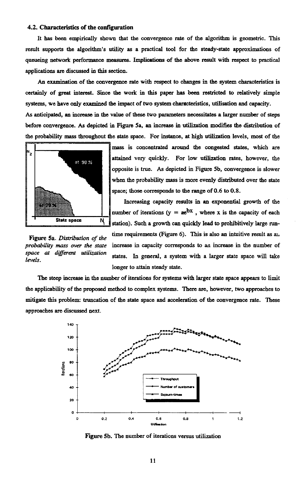#### 4.2. Characteristics of the configuration

It has been empirically shown that the convergence rate of the algorithm is geometric. This result supports the algorithm's utility as a practical tool for the steady-state approximations of queueing network performance measures. Implications of the above result with respect to practical applications are discussed in this section.

An examination of the convergence rate with respect to changes in the system characteristics is certainly of great interest. Since the work in this paper has been restricted to relatively simple systems, we have only examined the impact of two system characteristics, utilisation and capacity. As anticipated, an increase in the value of these two parameters necessitates a larger number of steps before convergence. As depicted in Figure 5a, an increase in utilization modifies the distribution of the probability mass throughout the state space. For instance, at high utilization levels, most of the



mass is concentrated around the congested states, which are attained very quickly. For low utilization rates, however, the opposite is true. As depicted in Figure 5b, convergence is slower when the probability mass is more evenly distributed over the state space; those corresponds to the range of 0.6 to 0.8.

Increasing capacity results in an exponential growth of the number of iterations  $(y = ae^{bx}$ , where x is the capacity of each  $\frac{N}{1}$  station). Such a growth can quickly lead to prohibitively large run-

time requirements (Figure 6). This is also an intuitive result as at. Figure 5a. *Distribution* of *the probability mass over the state* increase in capacity corresponds to an increase in the number of *space at different utilization* states. In general, a system with a larger state space will take *levels.* longer to attain steady state.

The steep increase in the number of iterations for systems with larger state space appears to limit the applicability of the proposed method to complex systems. There are, however, two approaches to mitigate this problem: truncation of the state space and acceleration of the convergence rate. These approaches are discussed next.



Figure 5b. The number of iterations versus utilization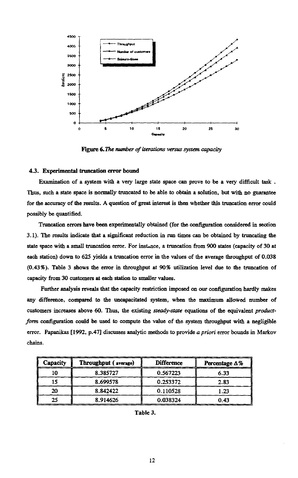

Figure 6. *The number of iterations versus system capacity*

## 4.3. Experimental truncation error bound

Examination of a system with a very large state space can prove to be a very difficult task . Thus, such a state space is normally truncated to *be* able to obtain a solution, but with no guarantee for *the* accuracy of the results. A question of great interest is then whether this truncation error could possibly be quantified.

Truncation errors have been experimentally obtained (for the configuration considered in section 3.1). The results indicate that a significant reduction in run times can be obtained by truncating the state space with a small truncation error. For instance, a truncation from 900 states (capacity of 30 at each station) down to 625 yields a truncation error in the values of the average throughput of 0.038 (0.43%). Table 3 shows the error in throughput at 90% utilization level due to the truncation of capacity from 30 customers at each station to smaller values.

Further analysis reveals that the capacity restriction imposed on our configuration hardly makes any difference, compared to the uncapacitated system, when the maximum allowed number of customers increases above 60. Thus, the existing *steady-state* equations of the equivalent *productform* configuration could be used to compute the value of the system throughput with a negligible error. Papanikas [1992, p.47] discusses analytic methods to provide *a priori* error bounds in Markov chains. fference, compared to the uncapacitated system, when the maximum allowed<br>
there increases above 60. Thus, the existing *steady-state* equations of the equiva<br>
onfiguration could be used to compute the value of the system Experiment of the uncapacitated system, when the maximum a<br>
increases above 60. Thus, the existing *steady-state* equations of the e<br>
increases above 60. Thus, the existing *steady-state* equations of the e<br>
iguration coul ence, compared to the uncapacitated system, when the maximum a<br>
increases above 60. Thus, the existing *steady-state* equations of the exiguration could be used to compute the value of the system throughpur<br>
panikas [1992,

| Throughput (average) | <b>Difference</b> | Percentage $\Delta\%$                                                                                                                                                                                                                                                              |
|----------------------|-------------------|------------------------------------------------------------------------------------------------------------------------------------------------------------------------------------------------------------------------------------------------------------------------------------|
| 8.385727             | 0.567223          | 6.33                                                                                                                                                                                                                                                                               |
| 8.699578             | 0.253372          | 2.83                                                                                                                                                                                                                                                                               |
| 8.842422             | 0.110528          | 1.23                                                                                                                                                                                                                                                                               |
|                      | 0.038324          | 0.43                                                                                                                                                                                                                                                                               |
|                      |                   | tomers increases above 60. Thus, the existing <i>steady-state</i> equations of the equivalent<br>n configuration could be used to compute the value of the system throughput with a r<br>or. Papanikas [1992, p.47] discusses analytic methods to provide a priori error bounds in |

Table 3.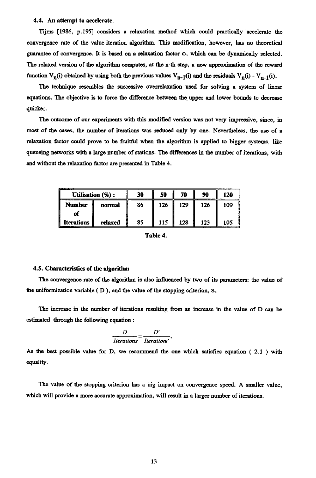### 4.4. An attempt to accelerate.

Tijms [1986, p.195] considers a relaxation method which could practically accelerate the convergence rate of the value-iteration algorithm. This modification, however, has no theoretical guarantee of convergence. It is based on a relaxation factor  $\omega$ , which can be dynamically selected. The relaxed version of the algorithm computes, at the n-th step, a new approximation of the reward function  $V_n(i)$  obtained by using both the previous values  $V_{n-1}(i)$  and the residuals  $V_n(i) - V_{n-1}(i)$ .

The technique resembles the successive overrelaxation used for solving a system of linear equations. The objective is to force the difference between the upper and lower bounds to decrease quicker.

The outcome of our experiments with this modified version was not very impressive, since, in most of the cases, the number of iterations was reduced only by one. Nevertheless, the *use* of a relaxation factor could prove to be fruitful when the algorithm is applied to bigger systems, *like* queueing networks with a large number of stations. The differences in the number of iterations, with and without the relaxation factor are presented in Table 4.

|               | Utilisation (%) : | 30 | 50  | 70  | 90  | 120 |
|---------------|-------------------|----|-----|-----|-----|-----|
| <b>Number</b> | normal            | 86 | 126 | 129 | 126 | 109 |
| of            |                   |    |     |     |     |     |
| Iterations    | relaxed           | 85 | 115 | 128 | 123 | 105 |

Table 4.

#### 4.5. Characteristics of the algorithm

The convergence rate of the algorithm is also influenced by two of its parameters: the value of the uniformization variable ( D ), and the value of the stopping criterion, E.

The increase in the number of iterations resulting from an increase in the value of D can be estimated through the following equation :

$$
\frac{D}{\text{Iterations}} = \frac{D'}{\text{Iterations'}}.
$$

As the best possible value for D, we recommend the one which satisfies equation ( 2.1) with equality.

The value of the stopping criterion has a big impact on convergence speed. A smaller value, which will provide a more accurate approximation, will result in a larger number of iterations.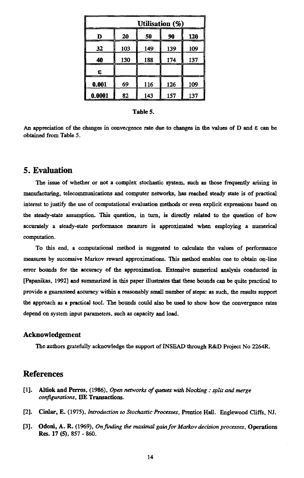| Utilisation (%) |     |     |     |  |
|-----------------|-----|-----|-----|--|
| 20              | 50  | 90  | 120 |  |
| 103             | 149 | 139 | 109 |  |
| 130             | 188 | 174 | 137 |  |
|                 |     |     |     |  |
| 69              | 116 | 126 | 109 |  |
| 82              | 143 | 157 | 137 |  |
|                 |     |     |     |  |

#### Table 5.

An appreciation of the changes in convergence rate due to changes in the values of D and  $\varepsilon$  can be obtained from Table 5.

# **5. Evaluation**

The issue of whether or not a complex stochastic system, such as those frequently arising in manufacturing, telecommunications and computer networks, has reached steady state is of practical interest to justify the use of computational evaluation methods or even explicit expressions based on the steady-state assumption. This question, in turn, is directly related to the question of how accurately a steady-state performance measure is approximated when employing a numerical computation.

To this end, a computational method is suggested to calculate the values of performance measures by successive Markov reward approximations. This method enables one to obtain on-line error bounds for the accuracy of the approximation. Extensive numerical analysis conducted in [Papanikas, 1992] and summarized in this paper illustrates that these bounds can be quite practical to provide a guaranteed accuracy within a reasonably small number of steps: as such, the results support the approach as a practical tool. The bounds could also be used to show how the convergence rates depend on system input parameters, such as capacity and load.

### **Acknowledgement**

The authors gratefully acknowledge the support of INSEAD through R&D Project No 2264R.

# **References**

- [1]. Altiok and Perros, (1986), *Open networks of queues with blocking : split and merge configurations,* DE Transactions.
- [2]. Cinlar, E. (1975), *Introduction to Stochastic Processes,* Prentice Hall. Englewood Cliffs, NJ.
- [3]. Odoni, A. R. (1969), *On finding the maximal gain for Markov decision processes,* Operations **Res.** 17 (5), 857 - 860.